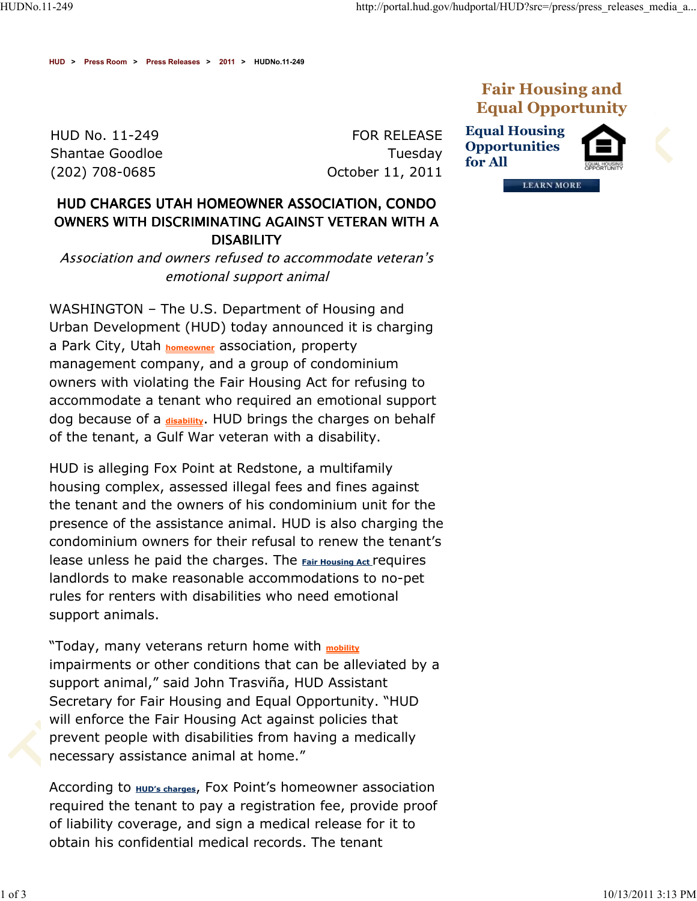**HUD > Press Room > Press Releases > 2011 > HUDNo.11-249**

HUD No. 11-249 Shantae Goodloe (202) 708-0685

FOR RELEASE Tuesday October 11, 2011



**Equal Housing Opportunities for All**



**LEARN MORE** 

## *HUD CHARGES UTAH HOMEOWNER ASSOCIATION, CONDO OWNERS WITH DISCRIMINATING AGAINST VETERAN WITH A DISABILITY*

*Association and owners refused to accommodate veteran's emotional support animal*

WASHINGTON – The U.S. Department of Housing and Urban Development (HUD) today announced it is charging a Park City, Utah **homeowner** association, property management company, and a group of condominium owners with violating the Fair Housing Act for refusing to accommodate a tenant who required an emotional support dog because of a **disability**. HUD brings the charges on behalf of the tenant, a Gulf War veteran with a disability.

HUD is alleging Fox Point at Redstone, a multifamily housing complex, assessed illegal fees and fines against the tenant and the owners of his condominium unit for the presence of the assistance animal. HUD is also charging the condominium owners for their refusal to renew the tenant's lease unless he paid the charges. The **Fair Housing Act** requires landlords to make reasonable accommodations to no-pet rules for renters with disabilities who need emotional support animals.

"Today, many veterans return home with **mobility** impairments or other conditions that can be alleviated by a support animal," said John Trasviña, HUD Assistant Secretary for Fair Housing and Equal Opportunity. "HUD will enforce the Fair Housing Act against policies that prevent people with disabilities from having a medically necessary assistance animal at home."

According to **HUD's charges**, Fox Point's homeowner association required the tenant to pay a registration fee, provide proof of liability coverage, and sign a medical release for it to obtain his confidential medical records. The tenant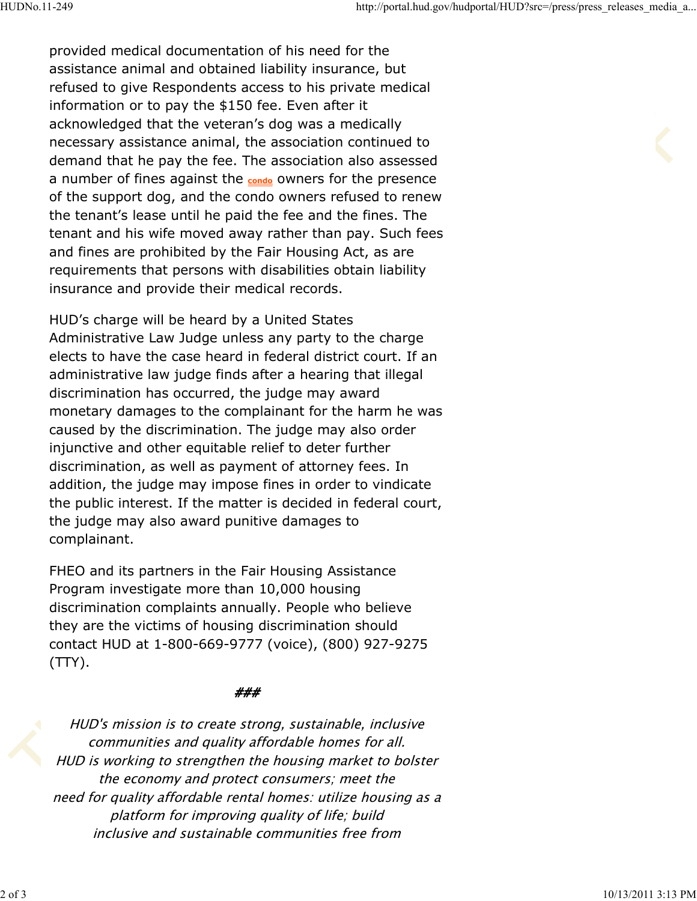provided medical documentation of his need for the assistance animal and obtained liability insurance, but refused to give Respondents access to his private medical information or to pay the \$150 fee. Even after it acknowledged that the veteran's dog was a medically necessary assistance animal, the association continued to demand that he pay the fee. The association also assessed a number of fines against the **condo** owners for the presence of the support dog, and the condo owners refused to renew the tenant's lease until he paid the fee and the fines. The tenant and his wife moved away rather than pay. Such fees and fines are prohibited by the Fair Housing Act, as are requirements that persons with disabilities obtain liability insurance and provide their medical records.

HUD's charge will be heard by a United States Administrative Law Judge unless any party to the charge elects to have the case heard in federal district court. If an administrative law judge finds after a hearing that illegal discrimination has occurred, the judge may award monetary damages to the complainant for the harm he was caused by the discrimination. The judge may also order injunctive and other equitable relief to deter further discrimination, as well as payment of attorney fees. In addition, the judge may impose fines in order to vindicate the public interest. If the matter is decided in federal court, the judge may also award punitive damages to complainant.

FHEO and its partners in the Fair Housing Assistance Program investigate more than 10,000 housing discrimination complaints annually. People who believe they are the victims of housing discrimination should contact HUD at 1-800-669-9777 (voice), (800) 927-9275 (TTY).

## *###*

*HUD's mission is to create strong, sustainable, inclusive communities and quality affordable homes for all. HUD is working to strengthen the housing market to bolster the economy and protect consumers; meet the need for quality affordable rental homes: utilize housing as <sup>a</sup> platform for improving quality of life; build inclusive and sustainable communities free from*